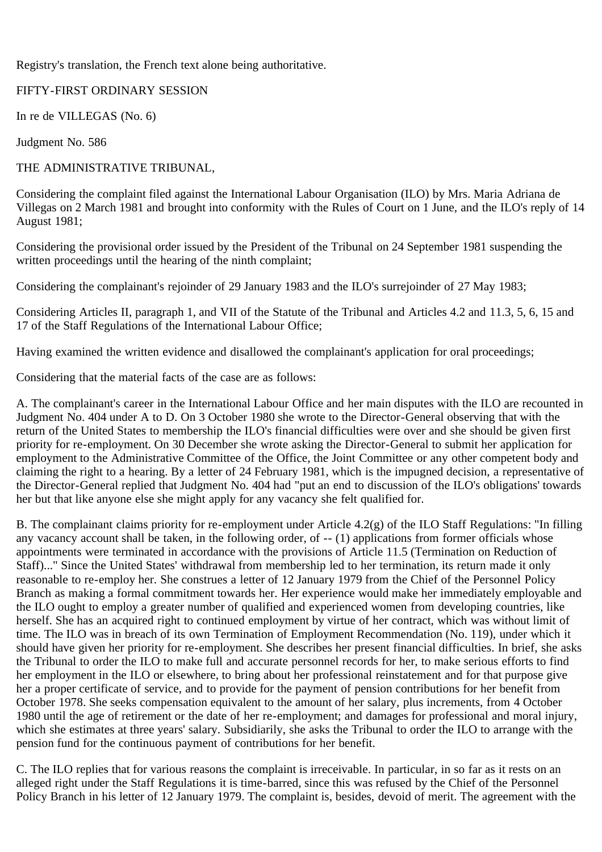Registry's translation, the French text alone being authoritative.

## FIFTY-FIRST ORDINARY SESSION

In re de VILLEGAS (No. 6)

Judgment No. 586

## THE ADMINISTRATIVE TRIBUNAL,

Considering the complaint filed against the International Labour Organisation (ILO) by Mrs. Maria Adriana de Villegas on 2 March 1981 and brought into conformity with the Rules of Court on 1 June, and the ILO's reply of 14 August 1981;

Considering the provisional order issued by the President of the Tribunal on 24 September 1981 suspending the written proceedings until the hearing of the ninth complaint;

Considering the complainant's rejoinder of 29 January 1983 and the ILO's surrejoinder of 27 May 1983;

Considering Articles II, paragraph 1, and VII of the Statute of the Tribunal and Articles 4.2 and 11.3, 5, 6, 15 and 17 of the Staff Regulations of the International Labour Office;

Having examined the written evidence and disallowed the complainant's application for oral proceedings;

Considering that the material facts of the case are as follows:

A. The complainant's career in the International Labour Office and her main disputes with the ILO are recounted in Judgment No. 404 under A to D. On 3 October 1980 she wrote to the Director-General observing that with the return of the United States to membership the ILO's financial difficulties were over and she should be given first priority for re-employment. On 30 December she wrote asking the Director-General to submit her application for employment to the Administrative Committee of the Office, the Joint Committee or any other competent body and claiming the right to a hearing. By a letter of 24 February 1981, which is the impugned decision, a representative of the Director-General replied that Judgment No. 404 had "put an end to discussion of the ILO's obligations' towards her but that like anyone else she might apply for any vacancy she felt qualified for.

B. The complainant claims priority for re-employment under Article 4.2(g) of the ILO Staff Regulations: "In filling any vacancy account shall be taken, in the following order, of -- (1) applications from former officials whose appointments were terminated in accordance with the provisions of Article 11.5 (Termination on Reduction of Staff)..." Since the United States' withdrawal from membership led to her termination, its return made it only reasonable to re-employ her. She construes a letter of 12 January 1979 from the Chief of the Personnel Policy Branch as making a formal commitment towards her. Her experience would make her immediately employable and the ILO ought to employ a greater number of qualified and experienced women from developing countries, like herself. She has an acquired right to continued employment by virtue of her contract, which was without limit of time. The ILO was in breach of its own Termination of Employment Recommendation (No. 119), under which it should have given her priority for re-employment. She describes her present financial difficulties. In brief, she asks the Tribunal to order the ILO to make full and accurate personnel records for her, to make serious efforts to find her employment in the ILO or elsewhere, to bring about her professional reinstatement and for that purpose give her a proper certificate of service, and to provide for the payment of pension contributions for her benefit from October 1978. She seeks compensation equivalent to the amount of her salary, plus increments, from 4 October 1980 until the age of retirement or the date of her re-employment; and damages for professional and moral injury, which she estimates at three years' salary. Subsidiarily, she asks the Tribunal to order the ILO to arrange with the pension fund for the continuous payment of contributions for her benefit.

C. The ILO replies that for various reasons the complaint is irreceivable. In particular, in so far as it rests on an alleged right under the Staff Regulations it is time-barred, since this was refused by the Chief of the Personnel Policy Branch in his letter of 12 January 1979. The complaint is, besides, devoid of merit. The agreement with the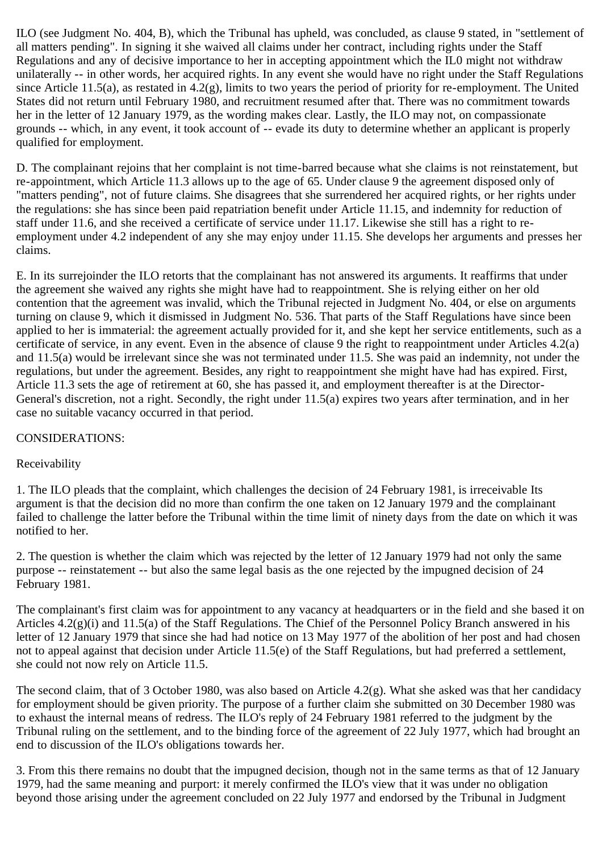ILO (see Judgment No. 404, B), which the Tribunal has upheld, was concluded, as clause 9 stated, in "settlement of all matters pending". In signing it she waived all claims under her contract, including rights under the Staff Regulations and any of decisive importance to her in accepting appointment which the IL0 might not withdraw unilaterally -- in other words, her acquired rights. In any event she would have no right under the Staff Regulations since Article 11.5(a), as restated in 4.2(g), limits to two years the period of priority for re-employment. The United States did not return until February 1980, and recruitment resumed after that. There was no commitment towards her in the letter of 12 January 1979, as the wording makes clear. Lastly, the ILO may not, on compassionate grounds -- which, in any event, it took account of -- evade its duty to determine whether an applicant is properly qualified for employment.

D. The complainant rejoins that her complaint is not time-barred because what she claims is not reinstatement, but re-appointment, which Article 11.3 allows up to the age of 65. Under clause 9 the agreement disposed only of "matters pending", not of future claims. She disagrees that she surrendered her acquired rights, or her rights under the regulations: she has since been paid repatriation benefit under Article 11.15, and indemnity for reduction of staff under 11.6, and she received a certificate of service under 11.17. Likewise she still has a right to reemployment under 4.2 independent of any she may enjoy under 11.15. She develops her arguments and presses her claims.

E. In its surrejoinder the ILO retorts that the complainant has not answered its arguments. It reaffirms that under the agreement she waived any rights she might have had to reappointment. She is relying either on her old contention that the agreement was invalid, which the Tribunal rejected in Judgment No. 404, or else on arguments turning on clause 9, which it dismissed in Judgment No. 536. That parts of the Staff Regulations have since been applied to her is immaterial: the agreement actually provided for it, and she kept her service entitlements, such as a certificate of service, in any event. Even in the absence of clause 9 the right to reappointment under Articles 4.2(a) and 11.5(a) would be irrelevant since she was not terminated under 11.5. She was paid an indemnity, not under the regulations, but under the agreement. Besides, any right to reappointment she might have had has expired. First, Article 11.3 sets the age of retirement at 60, she has passed it, and employment thereafter is at the Director-General's discretion, not a right. Secondly, the right under 11.5(a) expires two years after termination, and in her case no suitable vacancy occurred in that period.

## CONSIDERATIONS:

## Receivability

1. The ILO pleads that the complaint, which challenges the decision of 24 February 1981, is irreceivable Its argument is that the decision did no more than confirm the one taken on 12 January 1979 and the complainant failed to challenge the latter before the Tribunal within the time limit of ninety days from the date on which it was notified to her.

2. The question is whether the claim which was rejected by the letter of 12 January 1979 had not only the same purpose -- reinstatement -- but also the same legal basis as the one rejected by the impugned decision of 24 February 1981.

The complainant's first claim was for appointment to any vacancy at headquarters or in the field and she based it on Articles 4.2(g)(i) and 11.5(a) of the Staff Regulations. The Chief of the Personnel Policy Branch answered in his letter of 12 January 1979 that since she had had notice on 13 May 1977 of the abolition of her post and had chosen not to appeal against that decision under Article 11.5(e) of the Staff Regulations, but had preferred a settlement, she could not now rely on Article 11.5.

The second claim, that of 3 October 1980, was also based on Article 4.2(g). What she asked was that her candidacy for employment should be given priority. The purpose of a further claim she submitted on 30 December 1980 was to exhaust the internal means of redress. The ILO's reply of 24 February 1981 referred to the judgment by the Tribunal ruling on the settlement, and to the binding force of the agreement of 22 July 1977, which had brought an end to discussion of the ILO's obligations towards her.

3. From this there remains no doubt that the impugned decision, though not in the same terms as that of 12 January 1979, had the same meaning and purport: it merely confirmed the ILO's view that it was under no obligation beyond those arising under the agreement concluded on 22 July 1977 and endorsed by the Tribunal in Judgment